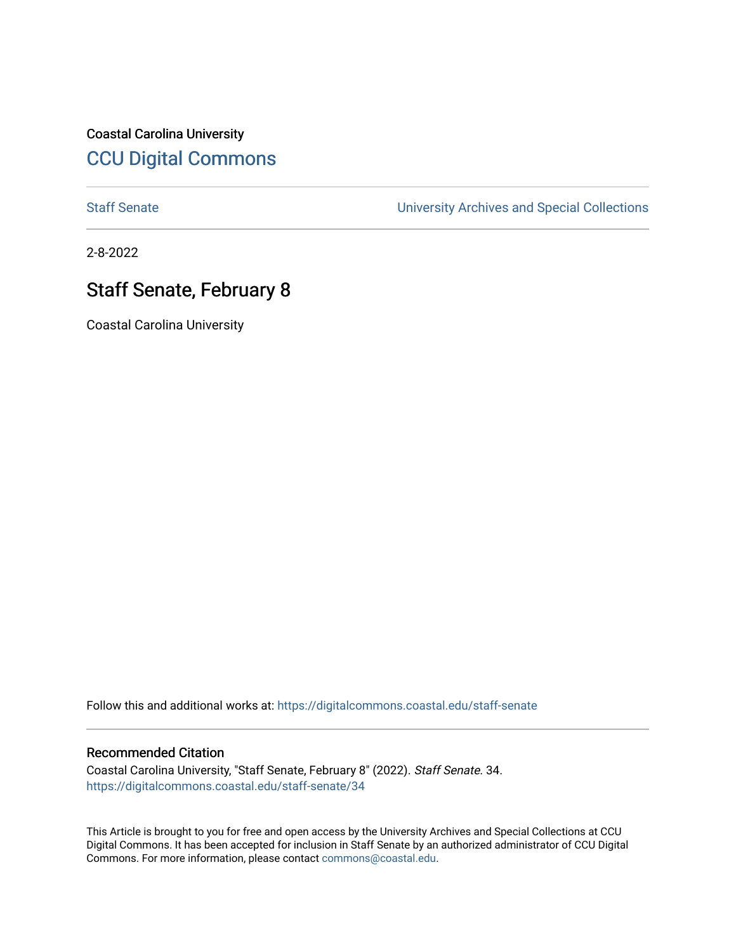Coastal Carolina University [CCU Digital Commons](https://digitalcommons.coastal.edu/) 

[Staff Senate](https://digitalcommons.coastal.edu/staff-senate) [University Archives and Special Collections](https://digitalcommons.coastal.edu/archives) 

2-8-2022

## Staff Senate, February 8

Coastal Carolina University

Follow this and additional works at: [https://digitalcommons.coastal.edu/staff-senate](https://digitalcommons.coastal.edu/staff-senate?utm_source=digitalcommons.coastal.edu%2Fstaff-senate%2F34&utm_medium=PDF&utm_campaign=PDFCoverPages)

## Recommended Citation

Coastal Carolina University, "Staff Senate, February 8" (2022). Staff Senate. 34. [https://digitalcommons.coastal.edu/staff-senate/34](https://digitalcommons.coastal.edu/staff-senate/34?utm_source=digitalcommons.coastal.edu%2Fstaff-senate%2F34&utm_medium=PDF&utm_campaign=PDFCoverPages) 

This Article is brought to you for free and open access by the University Archives and Special Collections at CCU Digital Commons. It has been accepted for inclusion in Staff Senate by an authorized administrator of CCU Digital Commons. For more information, please contact [commons@coastal.edu.](mailto:commons@coastal.edu)